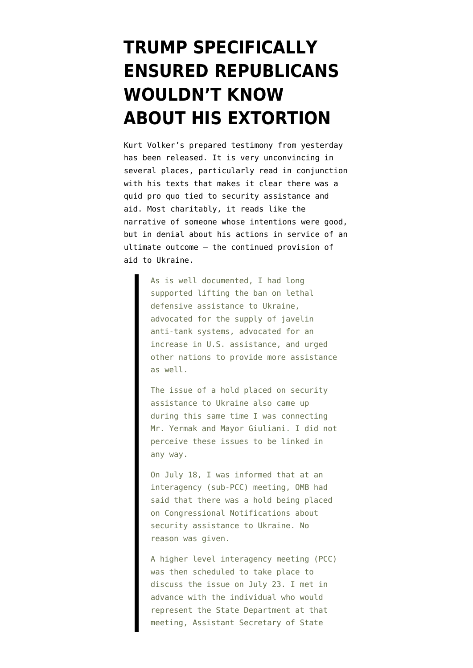## **[TRUMP SPECIFICALLY](https://www.emptywheel.net/2019/10/04/trump-specifically-ensured-republicans-wouldnt-know-about-his-extortion/) [ENSURED REPUBLICANS](https://www.emptywheel.net/2019/10/04/trump-specifically-ensured-republicans-wouldnt-know-about-his-extortion/) [WOULDN'T KNOW](https://www.emptywheel.net/2019/10/04/trump-specifically-ensured-republicans-wouldnt-know-about-his-extortion/) [ABOUT HIS EXTORTION](https://www.emptywheel.net/2019/10/04/trump-specifically-ensured-republicans-wouldnt-know-about-his-extortion/)**

Kurt Volker's prepared [testimony](https://assets.documentcloud.org/documents/6454114/Volker-Prepared-Remarks.pdf) from yesterday has been released. It is very unconvincing in several places, particularly read in conjunction with [his texts](https://www.emptywheel.net/2019/10/03/trump-is-being-impeached-for-harming-america-to-extort-campaign-help/) that makes it clear there was a quid pro quo tied to security assistance and aid. Most charitably, it reads like the narrative of someone whose intentions were good, but in denial about his actions in service of an ultimate outcome — the continued provision of aid to Ukraine.

> As is well documented, I had long supported lifting the ban on lethal defensive assistance to Ukraine, advocated for the supply of javelin anti-tank systems, advocated for an increase in U.S. assistance, and urged other nations to provide more assistance as well.

> The issue of a hold placed on security assistance to Ukraine also came up during this same time I was connecting Mr. Yermak and Mayor Giuliani. I did not perceive these issues to be linked in any way.

On July 18, I was informed that at an interagency (sub-PCC) meeting, OMB had said that there was a hold being placed on Congressional Notifications about security assistance to Ukraine. No reason was given.

A higher level interagency meeting (PCC) was then scheduled to take place to discuss the issue on July 23. I met in advance with the individual who would represent the State Department at that meeting, Assistant Secretary of State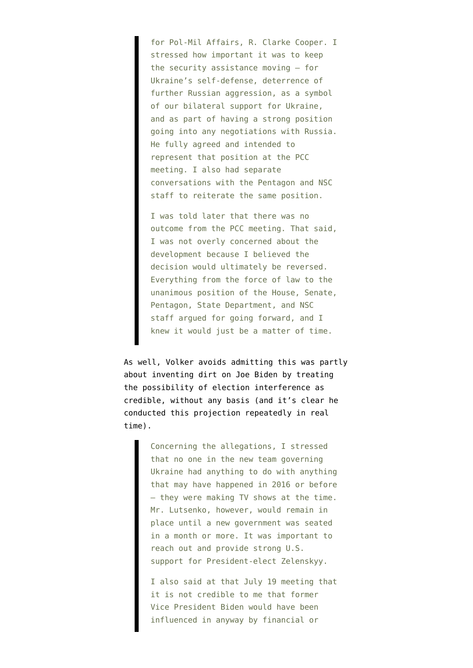for Pol-Mil Affairs, R. Clarke Cooper. I stressed how important it was to keep the security assistance moving – for Ukraine's self-defense, deterrence of further Russian aggression, as a symbol of our bilateral support for Ukraine, and as part of having a strong position going into any negotiations with Russia. He fully agreed and intended to represent that position at the PCC meeting. I also had separate conversations with the Pentagon and NSC staff to reiterate the same position.

I was told later that there was no outcome from the PCC meeting. That said, I was not overly concerned about the development because I believed the decision would ultimately be reversed. Everything from the force of law to the unanimous position of the House, Senate, Pentagon, State Department, and NSC staff argued for going forward, and I knew it would just be a matter of time.

As well, Volker avoids admitting this was partly about inventing dirt on Joe Biden by treating the possibility of election interference as credible, without any basis (and it's clear he conducted this projection repeatedly in real time).

> Concerning the allegations, I stressed that no one in the new team governing Ukraine had anything to do with anything that may have happened in 2016 or before – they were making TV shows at the time. Mr. Lutsenko, however, would remain in place until a new government was seated in a month or more. It was important to reach out and provide strong U.S. support for President-elect Zelenskyy.

> I also said at that July 19 meeting that it is not credible to me that former Vice President Biden would have been influenced in anyway by financial or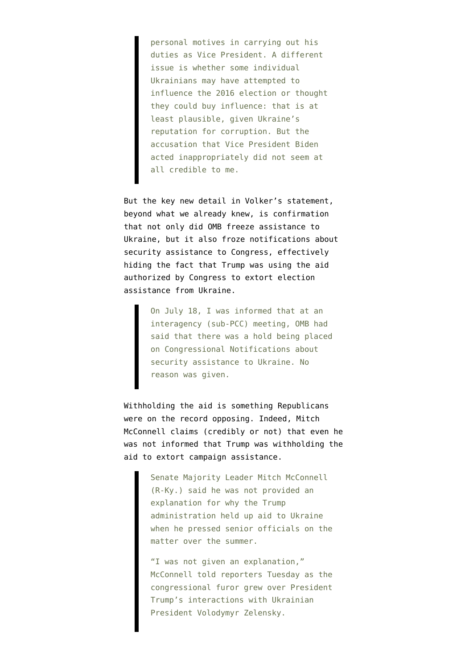personal motives in carrying out his duties as Vice President. A different issue is whether some individual Ukrainians may have attempted to influence the 2016 election or thought they could buy influence: that is at least plausible, given Ukraine's reputation for corruption. But the accusation that Vice President Biden acted inappropriately did not seem at all credible to me.

But the key new detail in Volker's statement, beyond what we already knew, is confirmation that not only did OMB freeze assistance to Ukraine, but it also froze notifications about security assistance to Congress, effectively hiding the fact that Trump was using the aid authorized by Congress to extort election assistance from Ukraine.

> On July 18, I was informed that at an interagency (sub-PCC) meeting, OMB had said that there was a hold being placed on Congressional Notifications about security assistance to Ukraine. No reason was given.

Withholding the aid is something Republicans were on the record opposing. Indeed, Mitch McConnell [claims](https://thehill.com/homenews/senate/462828-mcconnell-i-was-not-given-an-explanation-for-ukraine-aid-delay) (credibly or not) that even he was not informed that Trump was withholding the aid to extort campaign assistance.

> Senate Majority Leader Mitch McConnell (R-Ky.) said he was not provided an explanation for why the Trump administration held up aid to Ukraine when he pressed senior officials on the matter over the summer.

> "I was not given an explanation," McConnell told reporters Tuesday as the congressional furor grew over President Trump's interactions with Ukrainian President Volodymyr Zelensky.